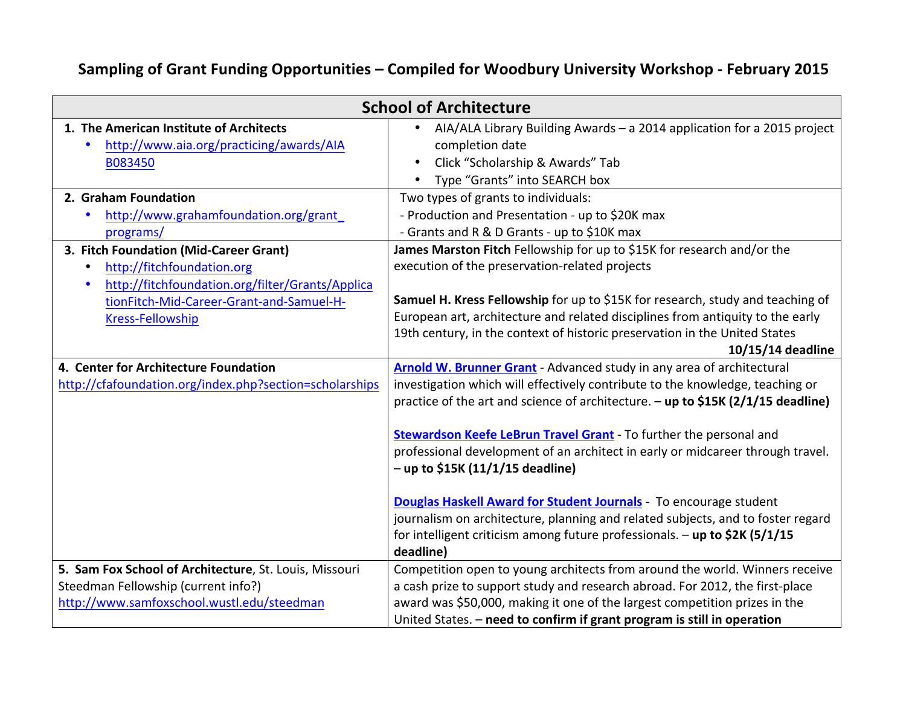## Sampling of Grant Funding Opportunities - Compiled for Woodbury University Workshop - February 2015

| <b>School of Architecture</b>                                 |                                                                                  |  |
|---------------------------------------------------------------|----------------------------------------------------------------------------------|--|
| 1. The American Institute of Architects                       | AIA/ALA Library Building Awards - a 2014 application for a 2015 project          |  |
| http://www.aia.org/practicing/awards/AIA                      | completion date                                                                  |  |
| B083450                                                       | Click "Scholarship & Awards" Tab<br>$\bullet$                                    |  |
|                                                               | Type "Grants" into SEARCH box                                                    |  |
| 2. Graham Foundation                                          | Two types of grants to individuals:                                              |  |
| http://www.grahamfoundation.org/grant                         | - Production and Presentation - up to \$20K max                                  |  |
| programs/                                                     | - Grants and R & D Grants - up to \$10K max                                      |  |
| 3. Fitch Foundation (Mid-Career Grant)                        | James Marston Fitch Fellowship for up to \$15K for research and/or the           |  |
| http://fitchfoundation.org<br>٠                               | execution of the preservation-related projects                                   |  |
| http://fitchfoundation.org/filter/Grants/Applica<br>$\bullet$ |                                                                                  |  |
| tionFitch-Mid-Career-Grant-and-Samuel-H-                      | Samuel H. Kress Fellowship for up to \$15K for research, study and teaching of   |  |
| <b>Kress-Fellowship</b>                                       | European art, architecture and related disciplines from antiquity to the early   |  |
|                                                               | 19th century, in the context of historic preservation in the United States       |  |
|                                                               | 10/15/14 deadline                                                                |  |
| 4. Center for Architecture Foundation                         | <b>Arnold W. Brunner Grant</b> - Advanced study in any area of architectural     |  |
| http://cfafoundation.org/index.php?section=scholarships       | investigation which will effectively contribute to the knowledge, teaching or    |  |
|                                                               | practice of the art and science of architecture. - up to \$15K (2/1/15 deadline) |  |
|                                                               | Stewardson Keefe LeBrun Travel Grant - To further the personal and               |  |
|                                                               | professional development of an architect in early or midcareer through travel.   |  |
|                                                               | $-$ up to \$15K (11/1/15 deadline)                                               |  |
|                                                               |                                                                                  |  |
|                                                               | Douglas Haskell Award for Student Journals - To encourage student                |  |
|                                                               | journalism on architecture, planning and related subjects, and to foster regard  |  |
|                                                               | for intelligent criticism among future professionals. - up to \$2K (5/1/15       |  |
|                                                               | deadline)                                                                        |  |
| 5. Sam Fox School of Architecture, St. Louis, Missouri        | Competition open to young architects from around the world. Winners receive      |  |
| Steedman Fellowship (current info?)                           | a cash prize to support study and research abroad. For 2012, the first-place     |  |
| http://www.samfoxschool.wustl.edu/steedman                    | award was \$50,000, making it one of the largest competition prizes in the       |  |
|                                                               | United States. - need to confirm if grant program is still in operation          |  |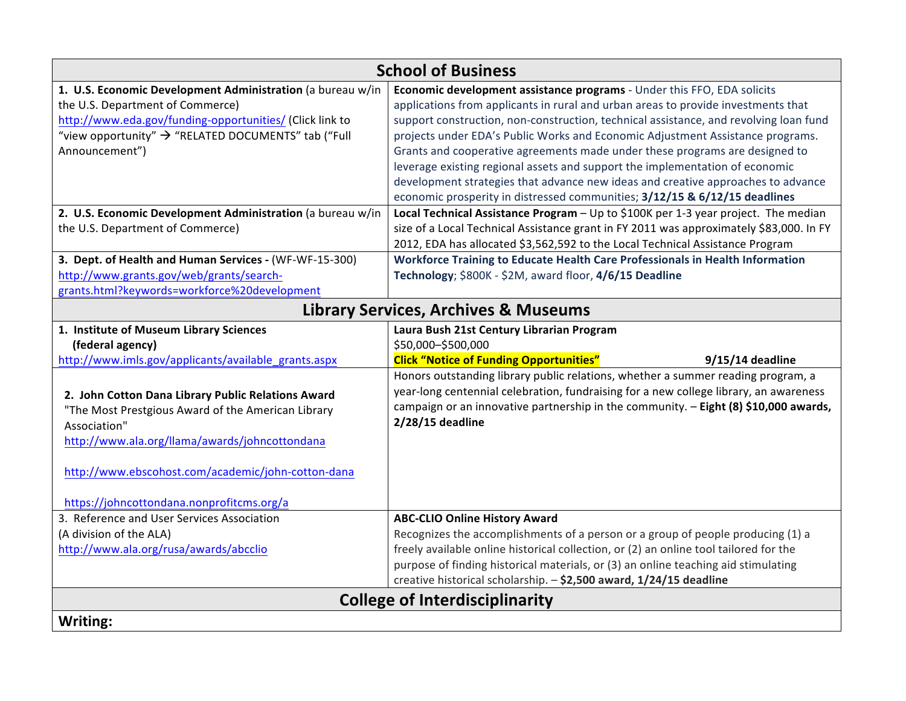| <b>School of Business</b>                                                                                                   |                                                                                                                                                                         |  |
|-----------------------------------------------------------------------------------------------------------------------------|-------------------------------------------------------------------------------------------------------------------------------------------------------------------------|--|
| 1. U.S. Economic Development Administration (a bureau w/in<br>the U.S. Department of Commerce)                              | Economic development assistance programs - Under this FFO, EDA solicits<br>applications from applicants in rural and urban areas to provide investments that            |  |
| http://www.eda.gov/funding-opportunities/ (Click link to<br>"view opportunity" $\rightarrow$ "RELATED DOCUMENTS" tab ("Full | support construction, non-construction, technical assistance, and revolving loan fund<br>projects under EDA's Public Works and Economic Adjustment Assistance programs. |  |
| Announcement")                                                                                                              | Grants and cooperative agreements made under these programs are designed to<br>leverage existing regional assets and support the implementation of economic             |  |
|                                                                                                                             | development strategies that advance new ideas and creative approaches to advance                                                                                        |  |
| 2. U.S. Economic Development Administration (a bureau w/in                                                                  | economic prosperity in distressed communities; 3/12/15 & 6/12/15 deadlines<br>Local Technical Assistance Program - Up to \$100K per 1-3 year project. The median        |  |
| the U.S. Department of Commerce)                                                                                            | size of a Local Technical Assistance grant in FY 2011 was approximately \$83,000. In FY                                                                                 |  |
|                                                                                                                             | 2012, EDA has allocated \$3,562,592 to the Local Technical Assistance Program                                                                                           |  |
| 3. Dept. of Health and Human Services - (WF-WF-15-300)                                                                      | Workforce Training to Educate Health Care Professionals in Health Information                                                                                           |  |
| http://www.grants.gov/web/grants/search-                                                                                    | Technology; \$800K - \$2M, award floor, 4/6/15 Deadline                                                                                                                 |  |
| grants.html?keywords=workforce%20development                                                                                |                                                                                                                                                                         |  |
| <b>Library Services, Archives &amp; Museums</b>                                                                             |                                                                                                                                                                         |  |
| 1. Institute of Museum Library Sciences                                                                                     | Laura Bush 21st Century Librarian Program                                                                                                                               |  |
| (federal agency)                                                                                                            | \$50,000-\$500,000                                                                                                                                                      |  |
| http://www.imls.gov/applicants/available_grants.aspx                                                                        | <b>Click "Notice of Funding Opportunities"</b><br>$9/15/14$ deadline                                                                                                    |  |
|                                                                                                                             | Honors outstanding library public relations, whether a summer reading program, a                                                                                        |  |
| 2. John Cotton Dana Library Public Relations Award                                                                          | year-long centennial celebration, fundraising for a new college library, an awareness                                                                                   |  |
| "The Most Prestgious Award of the American Library                                                                          | campaign or an innovative partnership in the community. - Eight (8) \$10,000 awards,<br>$2/28/15$ deadline                                                              |  |
| Association"                                                                                                                |                                                                                                                                                                         |  |
| http://www.ala.org/llama/awards/johncottondana                                                                              |                                                                                                                                                                         |  |
| http://www.ebscohost.com/academic/john-cotton-dana                                                                          |                                                                                                                                                                         |  |
| https://johncottondana.nonprofitcms.org/a                                                                                   |                                                                                                                                                                         |  |
| 3. Reference and User Services Association                                                                                  | <b>ABC-CLIO Online History Award</b>                                                                                                                                    |  |
| (A division of the ALA)                                                                                                     | Recognizes the accomplishments of a person or a group of people producing (1) a                                                                                         |  |
| http://www.ala.org/rusa/awards/abcclio                                                                                      | freely available online historical collection, or (2) an online tool tailored for the                                                                                   |  |
|                                                                                                                             | purpose of finding historical materials, or (3) an online teaching aid stimulating                                                                                      |  |
| creative historical scholarship. - \$2,500 award, 1/24/15 deadline                                                          |                                                                                                                                                                         |  |
| <b>College of Interdisciplinarity</b>                                                                                       |                                                                                                                                                                         |  |
| Writing:                                                                                                                    |                                                                                                                                                                         |  |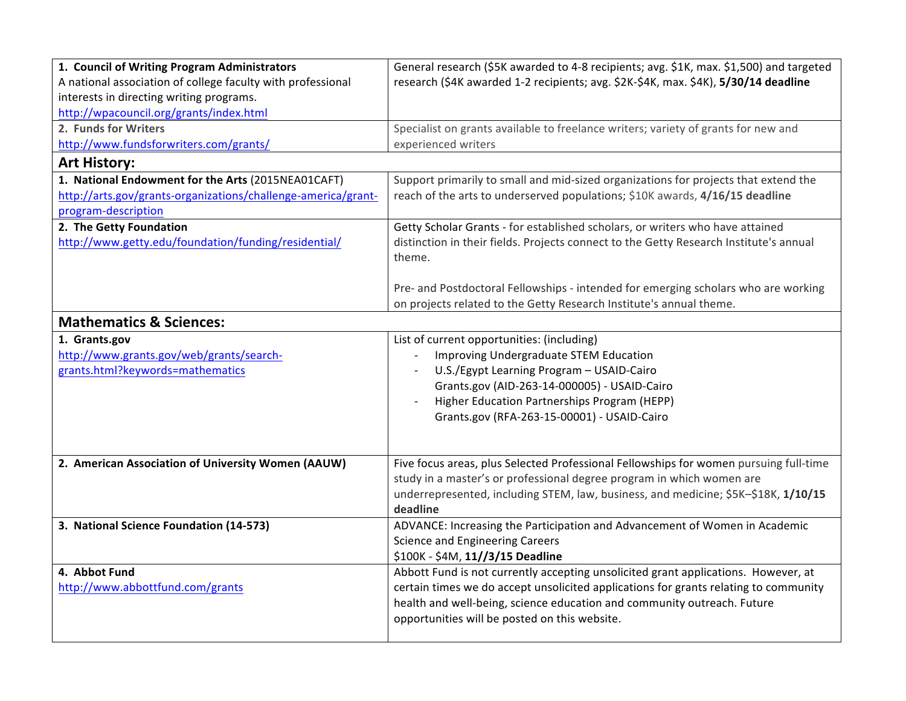| 1. Council of Writing Program Administrators                  | General research (\$5K awarded to 4-8 recipients; avg. \$1K, max. \$1,500) and targeted |
|---------------------------------------------------------------|-----------------------------------------------------------------------------------------|
| A national association of college faculty with professional   | research (\$4K awarded 1-2 recipients; avg. \$2K-\$4K, max. \$4K), 5/30/14 deadline     |
| interests in directing writing programs.                      |                                                                                         |
| http://wpacouncil.org/grants/index.html                       |                                                                                         |
| 2. Funds for Writers                                          | Specialist on grants available to freelance writers; variety of grants for new and      |
| http://www.fundsforwriters.com/grants/                        | experienced writers                                                                     |
| <b>Art History:</b>                                           |                                                                                         |
| 1. National Endowment for the Arts (2015NEA01CAFT)            | Support primarily to small and mid-sized organizations for projects that extend the     |
| http://arts.gov/grants-organizations/challenge-america/grant- | reach of the arts to underserved populations; \$10K awards, 4/16/15 deadline            |
| program-description                                           |                                                                                         |
| 2. The Getty Foundation                                       | Getty Scholar Grants - for established scholars, or writers who have attained           |
| http://www.getty.edu/foundation/funding/residential/          | distinction in their fields. Projects connect to the Getty Research Institute's annual  |
|                                                               | theme.                                                                                  |
|                                                               |                                                                                         |
|                                                               | Pre- and Postdoctoral Fellowships - intended for emerging scholars who are working      |
|                                                               | on projects related to the Getty Research Institute's annual theme.                     |
| <b>Mathematics &amp; Sciences:</b>                            |                                                                                         |
| 1. Grants.gov                                                 | List of current opportunities: (including)                                              |
| http://www.grants.gov/web/grants/search-                      | Improving Undergraduate STEM Education                                                  |
| grants.html?keywords=mathematics                              | U.S./Egypt Learning Program - USAID-Cairo                                               |
|                                                               | Grants.gov (AID-263-14-000005) - USAID-Cairo                                            |
|                                                               | Higher Education Partnerships Program (HEPP)                                            |
|                                                               | Grants.gov (RFA-263-15-00001) - USAID-Cairo                                             |
|                                                               |                                                                                         |
| 2. American Association of University Women (AAUW)            | Five focus areas, plus Selected Professional Fellowships for women pursuing full-time   |
|                                                               | study in a master's or professional degree program in which women are                   |
|                                                               | underrepresented, including STEM, law, business, and medicine; \$5K-\$18K, 1/10/15      |
|                                                               | deadline                                                                                |
| 3. National Science Foundation (14-573)                       | ADVANCE: Increasing the Participation and Advancement of Women in Academic              |
|                                                               | Science and Engineering Careers                                                         |
|                                                               | \$100K - \$4M, 11//3/15 Deadline                                                        |
| 4. Abbot Fund                                                 | Abbott Fund is not currently accepting unsolicited grant applications. However, at      |
| http://www.abbottfund.com/grants                              | certain times we do accept unsolicited applications for grants relating to community    |
|                                                               | health and well-being, science education and community outreach. Future                 |
|                                                               | opportunities will be posted on this website.                                           |
|                                                               |                                                                                         |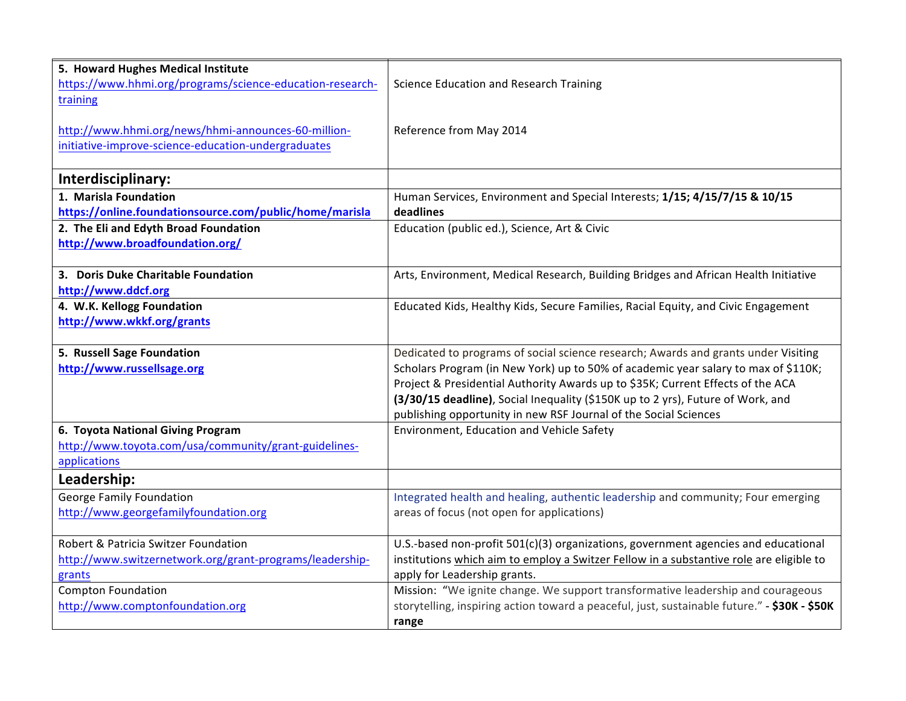| 5. Howard Hughes Medical Institute                        |                                                                                              |
|-----------------------------------------------------------|----------------------------------------------------------------------------------------------|
| https://www.hhmi.org/programs/science-education-research- | Science Education and Research Training                                                      |
| training                                                  |                                                                                              |
|                                                           |                                                                                              |
| http://www.hhmi.org/news/hhmi-announces-60-million-       | Reference from May 2014                                                                      |
| initiative-improve-science-education-undergraduates       |                                                                                              |
|                                                           |                                                                                              |
| Interdisciplinary:                                        |                                                                                              |
| 1. Marisla Foundation                                     | Human Services, Environment and Special Interests; 1/15; 4/15/7/15 & 10/15                   |
| https://online.foundationsource.com/public/home/marisla   | deadlines                                                                                    |
| 2. The Eli and Edyth Broad Foundation                     | Education (public ed.), Science, Art & Civic                                                 |
| http://www.broadfoundation.org/                           |                                                                                              |
|                                                           |                                                                                              |
| 3. Doris Duke Charitable Foundation                       | Arts, Environment, Medical Research, Building Bridges and African Health Initiative          |
| http://www.ddcf.org                                       |                                                                                              |
| 4. W.K. Kellogg Foundation                                | Educated Kids, Healthy Kids, Secure Families, Racial Equity, and Civic Engagement            |
| http://www.wkkf.org/grants                                |                                                                                              |
|                                                           |                                                                                              |
| 5. Russell Sage Foundation                                | Dedicated to programs of social science research; Awards and grants under Visiting           |
| http://www.russellsage.org                                | Scholars Program (in New York) up to 50% of academic year salary to max of \$110K;           |
|                                                           | Project & Presidential Authority Awards up to \$35K; Current Effects of the ACA              |
|                                                           | (3/30/15 deadline), Social Inequality (\$150K up to 2 yrs), Future of Work, and              |
|                                                           | publishing opportunity in new RSF Journal of the Social Sciences                             |
| 6. Toyota National Giving Program                         | Environment, Education and Vehicle Safety                                                    |
| http://www.toyota.com/usa/community/grant-guidelines-     |                                                                                              |
| applications                                              |                                                                                              |
| Leadership:                                               |                                                                                              |
| George Family Foundation                                  | Integrated health and healing, authentic leadership and community; Four emerging             |
| http://www.georgefamilyfoundation.org                     | areas of focus (not open for applications)                                                   |
|                                                           |                                                                                              |
| Robert & Patricia Switzer Foundation                      | U.S.-based non-profit 501(c)(3) organizations, government agencies and educational           |
| http://www.switzernetwork.org/grant-programs/leadership-  | institutions which aim to employ a Switzer Fellow in a substantive role are eligible to      |
| grants                                                    | apply for Leadership grants.                                                                 |
| <b>Compton Foundation</b>                                 | Mission: "We ignite change. We support transformative leadership and courageous              |
| http://www.comptonfoundation.org                          | storytelling, inspiring action toward a peaceful, just, sustainable future." - \$30K - \$50K |
|                                                           | range                                                                                        |
|                                                           |                                                                                              |